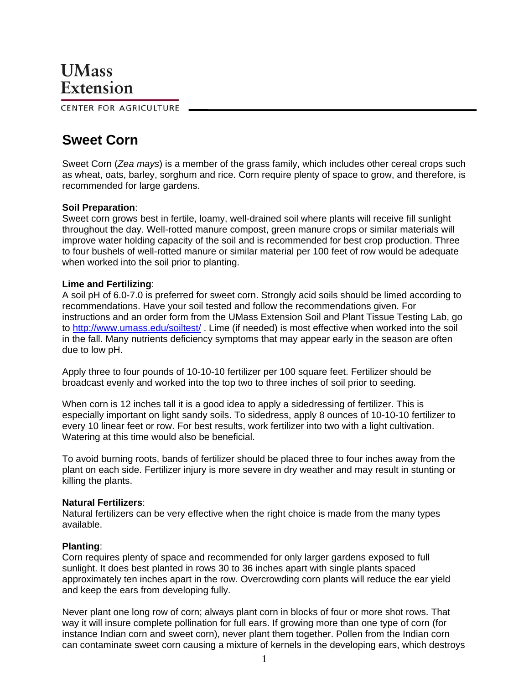CENTER FOR AGRICULTURE

# **Sweet Corn**

Sweet Corn (*Zea mays*) is a member of the grass family, which includes other cereal crops such as wheat, oats, barley, sorghum and rice. Corn require plenty of space to grow, and therefore, is recommended for large gardens.

## **Soil Preparation**:

Sweet corn grows best in fertile, loamy, well-drained soil where plants will receive fill sunlight throughout the day. Well-rotted manure compost, green manure crops or similar materials will improve water holding capacity of the soil and is recommended for best crop production. Three to four bushels of well-rotted manure or similar material per 100 feet of row would be adequate when worked into the soil prior to planting.

## **Lime and Fertilizing**:

A soil pH of 6.0-7.0 is preferred for sweet corn. Strongly acid soils should be limed according to recommendations. Have your soil tested and follow the recommendations given. For instructions and an order form from the UMass Extension Soil and Plant Tissue Testing Lab, go to http://www.umass.edu/soiltest/ . Lime (if needed) is most effective when worked into the soil in the fall. Many nutrients deficiency symptoms that may appear early in the season are often due to low pH.

Apply three to four pounds of 10-10-10 fertilizer per 100 square feet. Fertilizer should be broadcast evenly and worked into the top two to three inches of soil prior to seeding.

When corn is 12 inches tall it is a good idea to apply a sidedressing of fertilizer. This is especially important on light sandy soils. To sidedress, apply 8 ounces of 10-10-10 fertilizer to every 10 linear feet or row. For best results, work fertilizer into two with a light cultivation. Watering at this time would also be beneficial.

To avoid burning roots, bands of fertilizer should be placed three to four inches away from the plant on each side. Fertilizer injury is more severe in dry weather and may result in stunting or killing the plants.

## **Natural Fertilizers**:

Natural fertilizers can be very effective when the right choice is made from the many types available.

## **Planting**:

Corn requires plenty of space and recommended for only larger gardens exposed to full sunlight. It does best planted in rows 30 to 36 inches apart with single plants spaced approximately ten inches apart in the row. Overcrowding corn plants will reduce the ear yield and keep the ears from developing fully.

Never plant one long row of corn; always plant corn in blocks of four or more shot rows. That way it will insure complete pollination for full ears. If growing more than one type of corn (for instance Indian corn and sweet corn), never plant them together. Pollen from the Indian corn can contaminate sweet corn causing a mixture of kernels in the developing ears, which destroys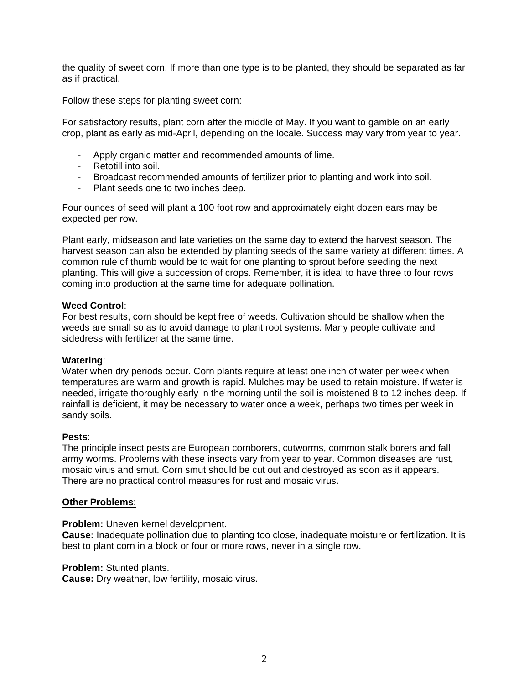the quality of sweet corn. If more than one type is to be planted, they should be separated as far as if practical.

Follow these steps for planting sweet corn:

For satisfactory results, plant corn after the middle of May. If you want to gamble on an early crop, plant as early as mid-April, depending on the locale. Success may vary from year to year.

- Apply organic matter and recommended amounts of lime.
- Retotill into soil.
- Broadcast recommended amounts of fertilizer prior to planting and work into soil.
- Plant seeds one to two inches deep.

Four ounces of seed will plant a 100 foot row and approximately eight dozen ears may be expected per row.

Plant early, midseason and late varieties on the same day to extend the harvest season. The harvest season can also be extended by planting seeds of the same variety at different times. A common rule of thumb would be to wait for one planting to sprout before seeding the next planting. This will give a succession of crops. Remember, it is ideal to have three to four rows coming into production at the same time for adequate pollination.

## **Weed Control**:

For best results, corn should be kept free of weeds. Cultivation should be shallow when the weeds are small so as to avoid damage to plant root systems. Many people cultivate and sidedress with fertilizer at the same time.

## **Watering**:

Water when dry periods occur. Corn plants require at least one inch of water per week when temperatures are warm and growth is rapid. Mulches may be used to retain moisture. If water is needed, irrigate thoroughly early in the morning until the soil is moistened 8 to 12 inches deep. If rainfall is deficient, it may be necessary to water once a week, perhaps two times per week in sandy soils.

#### **Pests**:

The principle insect pests are European cornborers, cutworms, common stalk borers and fall army worms. Problems with these insects vary from year to year. Common diseases are rust, mosaic virus and smut. Corn smut should be cut out and destroyed as soon as it appears. There are no practical control measures for rust and mosaic virus.

## **Other Problems**:

**Problem:** Uneven kernel development.

**Cause:** Inadequate pollination due to planting too close, inadequate moisture or fertilization. It is best to plant corn in a block or four or more rows, never in a single row.

#### **Problem:** Stunted plants.

**Cause:** Dry weather, low fertility, mosaic virus.